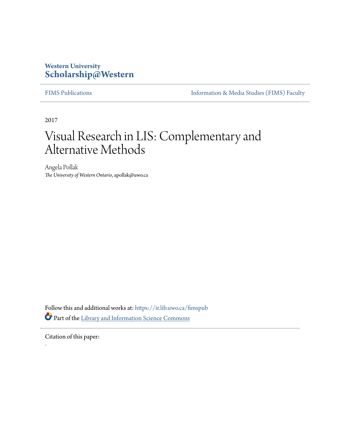# **Western University [Scholarship@Western](https://ir.lib.uwo.ca?utm_source=ir.lib.uwo.ca%2Ffimspub%2F161&utm_medium=PDF&utm_campaign=PDFCoverPages)**

[FIMS Publications](https://ir.lib.uwo.ca/fimspub?utm_source=ir.lib.uwo.ca%2Ffimspub%2F161&utm_medium=PDF&utm_campaign=PDFCoverPages) [Information & Media Studies \(FIMS\) Faculty](https://ir.lib.uwo.ca/fims?utm_source=ir.lib.uwo.ca%2Ffimspub%2F161&utm_medium=PDF&utm_campaign=PDFCoverPages)

2017

# Visual Research in LIS: Complementary and Alternative Methods

Angela Pollak *The University of Western Ontario*, apollak@uwo.ca

Follow this and additional works at: [https://ir.lib.uwo.ca/fimspub](https://ir.lib.uwo.ca/fimspub?utm_source=ir.lib.uwo.ca%2Ffimspub%2F161&utm_medium=PDF&utm_campaign=PDFCoverPages) Part of the [Library and Information Science Commons](http://network.bepress.com/hgg/discipline/1018?utm_source=ir.lib.uwo.ca%2Ffimspub%2F161&utm_medium=PDF&utm_campaign=PDFCoverPages)

Citation of this paper:

-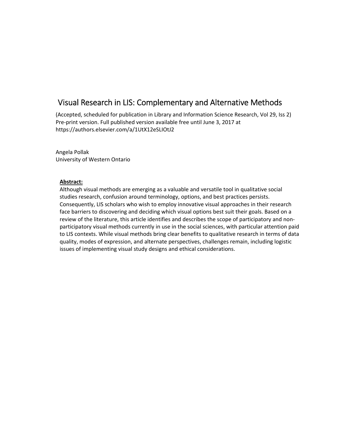# Visual Research in LIS: Complementary and Alternative Methods

(Accepted, scheduled for publication in Library and Information Science Research, Vol 29, Iss 2) Pre-print version. Full published version available free until June 3, 2017 at https://authors.elsevier.com/a/1UtX12eSLIOtJ2

Angela Pollak University of Western Ontario

#### **Abstract:**

Although visual methods are emerging as a valuable and versatile tool in qualitative social studies research, confusion around terminology, options, and best practices persists. Consequently, LIS scholars who wish to employ innovative visual approaches in their research face barriers to discovering and deciding which visual options best suit their goals. Based on a review of the literature, this article identifies and describes the scope of participatory and nonparticipatory visual methods currently in use in the social sciences, with particular attention paid to LIS contexts. While visual methods bring clear benefits to qualitative research in terms of data quality, modes of expression, and alternate perspectives, challenges remain, including logistic issues of implementing visual study designs and ethical considerations.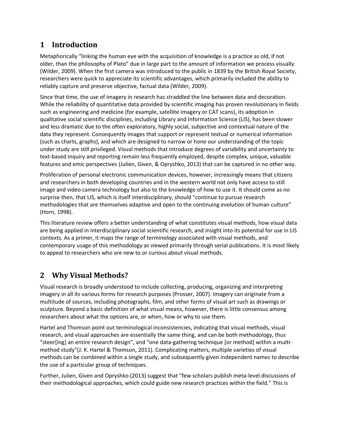# **1 Introduction**

Metaphorically "linking the human eye with the acquisition of knowledge is a practice as old, if not older, than the philosophy of Plato" due in large part to the amount of information we process visually (Wilder, 2009). When the first camera was introduced to the public in 1839 by the British Royal Society, researchers were quick to appreciate its scientific advantages, which primarily included the ability to reliably capture and preserve objective, factual data (Wilder, 2009).

Since that time, the use of imagery in research has straddled the line between data and decoration. While the reliability of quantitative data provided by scientific imaging has proven revolutionary in fields such as engineering and medicine (for example, satellite imagery or CAT scans), its adoption in qualitative social scientific disciplines, including Library and Information Science (LIS), has been slower and less dramatic due to the often exploratory, highly social, subjective and contextual nature of the data they represent. Consequently images that support or represent textual or numerical information (such as charts, graphs), and which are designed to narrow or hone our understanding of the topic under study are still privileged. Visual methods that introduce degrees of variability and uncertainty to text-based inquiry and reporting remain less frequently employed, despite complex, unique, valuable features and emic perspectives (Julien, Given, & Opryshko, 2013) that can be captured in no other way.

Proliferation of personal electronic communication devices, however, increasingly means that citizens and researchers in both developing countries and in the western world not only have access to still image and video camera technology but also to the knowledge of how to use it. It should come as no surprise then, that LIS, which is itself interdisciplinary, should "continue to pursue research methodologies that are themselves adaptive and open to the continuing evolution of human culture" (Horn, 1998).

This literature review offers a better understanding of what constitutes visual methods, how visual data are being applied in interdisciplinary social scientific research, and insight into its potential for use in LIS contexts. As a primer, it maps the range of terminology associated with visual methods, and contemporary usage of this methodology as viewed primarily through serial publications. It is most likely to appeal to researchers who are new to or curious about visual methods.

# **2 Why Visual Methods?**

Visual research is broadly understood to include collecting, producing, organizing and interpreting imagery in all its various forms for research purposes (Prosser, 2007). Imagery can originate from a multitude of sources, including photographs, film, and other forms of visual art such as drawings or sculpture. Beyond a basic definition of what visual means, however, there is little consensus among researchers about what the options are, or when, how or why to use them.

Hartel and Thomson point out terminological inconsistencies, indicating that visual methods, visual research, and visual approaches are essentially the same thing, and can be both methodology, thus "steer[ing] an entire research design", and "one data-gathering technique [or method] within a multimethod study"(J. K. Hartel & Thomson, 2011). Complicating matters, multiple varieties of visual methods can be combined within a single study, and subsequently given independent names to describe the use of a particular group of techniques.

Further, Julien, Given and Opryshko (2013) suggest that "few scholars publish meta-level discussions of their methodological approaches, which could guide new research practices within the field." This is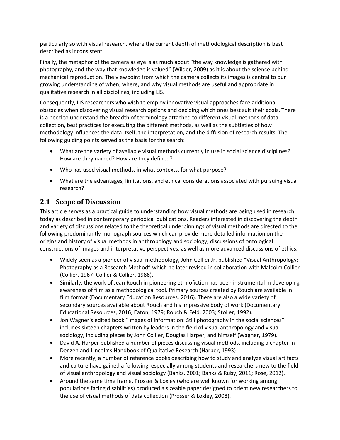particularly so with visual research, where the current depth of methodological description is best described as inconsistent.

Finally, the metaphor of the camera as eye is as much about "the way knowledge is gathered with photography, and the way that knowledge is valued" (Wilder, 2009) as it is about the science behind mechanical reproduction. The viewpoint from which the camera collects its images is central to our growing understanding of when, where, and why visual methods are useful and appropriate in qualitative research in all disciplines, including LIS.

Consequently, LIS researchers who wish to employ innovative visual approaches face additional obstacles when discovering visual research options and deciding which ones best suit their goals. There is a need to understand the breadth of terminology attached to different visual methods of data collection, best practices for executing the different methods, as well as the subtleties of how methodology influences the data itself, the interpretation, and the diffusion of research results. The following guiding points served as the basis for the search:

- What are the variety of available visual methods currently in use in social science disciplines? How are they named? How are they defined?
- Who has used visual methods, in what contexts, for what purpose?
- What are the advantages, limitations, and ethical considerations associated with pursuing visual research?

#### **2.1 Scope of Discussion**

This article serves as a practical guide to understanding how visual methods are being used in research today as described in contemporary periodical publications. Readers interested in discovering the depth and variety of discussions related to the theoretical underpinnings of visual methods are directed to the following predominantly monograph sources which can provide more detailed information on the origins and history of visual methods in anthropology and sociology, discussions of ontological constructions of images and interpretative perspectives, as well as more advanced discussions of ethics.

- Widely seen as a pioneer of visual methodology, John Collier Jr. published "Visual Anthropology: Photography as a Research Method" which he later revised in collaboration with Malcolm Collier (Collier, 1967; Collier & Collier, 1986).
- Similarly, the work of Jean Rouch in pioneering ethnofiction has been instrumental in developing awareness of film as a methodological tool. Primary sources created by Rouch are available in film format (Documentary Education Resources, 2016). There are also a wide variety of secondary sources available about Rouch and his impressive body of work (Documentary Educational Resources, 2016; Eaton, 1979; Rouch & Feld, 2003; Stoller, 1992).
- Jon Wagner's edited book "Images of information: Still photography in the social sciences" includes sixteen chapters written by leaders in the field of visual anthropology and visual sociology, including pieces by John Collier, Douglas Harper, and himself (Wagner, 1979).
- David A. Harper published a number of pieces discussing visual methods, including a chapter in Denzen and Lincoln's Handbook of Qualitative Research (Harper, 1993)
- More recently, a number of reference books describing how to study and analyze visual artifacts and culture have gained a following, especially among students and researchers new to the field of visual anthropology and visual sociology (Banks, 2001; Banks & Ruby, 2011; Rose, 2012).
- Around the same time frame, Prosser & Loxley (who are well known for working among populations facing disabilities) produced a sizeable paper designed to orient new researchers to the use of visual methods of data collection (Prosser & Loxley, 2008).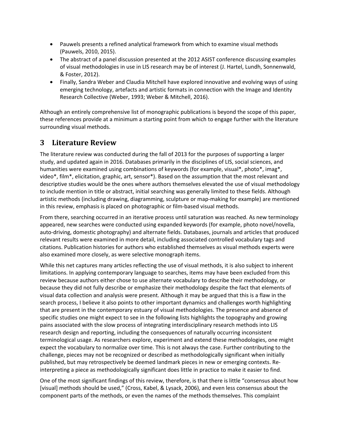- Pauwels presents a refined analytical framework from which to examine visual methods (Pauwels, 2010, 2015).
- The abstract of a panel discussion presented at the 2012 ASIST conference discussing examples of visual methodologies in use in LIS research may be of interest (J. Hartel, Lundh, Sonnenwald, & Foster, 2012).
- Finally, Sandra Weber and Claudia Mitchell have explored innovative and evolving ways of using emerging technology, artefacts and artistic formats in connection with the Image and Identity Research Collective (Weber, 1993; Weber & Mitchell, 2016).

Although an entirely comprehensive list of monographic publications is beyond the scope of this paper, these references provide at a minimum a starting point from which to engage further with the literature surrounding visual methods.

# **3 Literature Review**

The literature review was conducted during the fall of 2013 for the purposes of supporting a larger study, and updated again in 2016. Databases primarily in the disciplines of LIS, social sciences, and humanities were examined using combinations of keywords (for example, visual\*, photo\*, imag\*, video\*, film\*, elicitation, graphic, art, sensor\*). Based on the assumption that the most relevant and descriptive studies would be the ones where authors themselves elevated the use of visual methodology to include mention in title or abstract, initial searching was generally limited to these fields. Although artistic methods (including drawing, diagramming, sculpture or map-making for example) are mentioned in this review, emphasis is placed on photographic or film-based visual methods.

From there, searching occurred in an iterative process until saturation was reached. As new terminology appeared, new searches were conducted using expanded keywords (for example, photo novel/novella, auto-driving, domestic photography) and alternate fields. Databases, journals and articles that produced relevant results were examined in more detail, including associated controlled vocabulary tags and citations. Publication histories for authors who established themselves as visual methods experts were also examined more closely, as were selective monograph items.

While this net captures many articles reflecting the use of visual methods, it is also subject to inherent limitations. In applying contemporary language to searches, items may have been excluded from this review because authors either chose to use alternate vocabulary to describe their methodology, or because they did not fully describe or emphasize their methodology despite the fact that elements of visual data collection and analysis were present. Although it may be argued that this is a flaw in the search process, I believe it also points to other important dynamics and challenges worth highlighting that are present in the contemporary estuary of visual methodologies. The presence and absence of specific studies one might expect to see in the following lists highlights the topography and growing pains associated with the slow process of integrating interdisciplinary research methods into LIS research design and reporting, including the consequences of naturally occurring inconsistent terminological usage. As researchers explore, experiment and extend these methodologies, one might expect the vocabulary to normalize over time. This is not always the case. Further contributing to the challenge, pieces may not be recognized or described as methodologically significant when initially published, but may retrospectively be deemed landmark pieces in new or emerging contexts. Reinterpreting a piece as methodologically significant does little in practice to make it easier to find.

One of the most significant findings of this review, therefore, is that there is little "consensus about how [visual] methods should be used," (Cross, Kabel, & Lysack, 2006), and even less consensus about the component parts of the methods, or even the names of the methods themselves. This complaint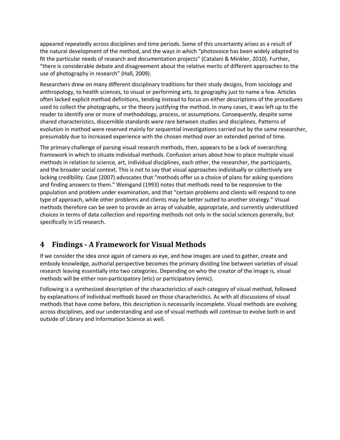appeared repeatedly across disciplines and time periods. Some of this uncertainty arises as a result of the natural development of the method, and the ways in which "photovoice has been widely adapted to fit the particular needs of research and documentation projects" (Catalani & Minkler, 2010). Further, "there is considerable debate and disagreement about the relative merits of different approaches to the use of photography in research" (Hall, 2009).

Researchers drew on many different disciplinary traditions for their study designs, from sociology and anthropology, to health sciences, to visual or performing arts, to geography just to name a few. Articles often lacked explicit method definitions, tending instead to focus on either descriptions of the procedures used to collect the photographs, or the theory justifying the method. In many cases, it was left up to the reader to identify one or more of methodology, process, or assumptions. Consequently, despite some shared characteristics, discernible standards were rare between studies and disciplines. Patterns of evolution in method were reserved mainly for sequential investigations carried out by the same researcher, presumably due to increased experience with the chosen method over an extended period of time.

The primary challenge of parsing visual research methods, then, appears to be a lack of overarching framework in which to situate individual methods. Confusion arises about how to place multiple visual methods in relation to science, art, individual disciplines, each other, the researcher, the participants, and the broader social context. This is not to say that visual approaches individually or collectively are lacking credibility. Case (2007) advocates that "methods offer us a choice of plans for asking questions and finding answers to them." Weingand (1993) notes that methods need to be responsive to the population and problem under examination, and that "certain problems and clients will respond to one type of approach, while other problems and clients may be better suited to another strategy." Visual methods therefore can be seen to provide an array of valuable, appropriate, and currently underutilized choices in terms of data collection and reporting methods not only in the social sciences generally, but specifically in LIS research.

# **4 Findings - A Framework for Visual Methods**

If we consider the idea once again of camera as eye, and how images are used to gather, create and embody knowledge, authorial perspective becomes the primary dividing line between varieties of visual research leaving essentially into two categories. Depending on who the creator of the image is, visual methods will be either non-participatory (etic) or participatory (emic).

Following is a synthesized description of the characteristics of each category of visual method, followed by explanations of individual methods based on those characteristics. As with all discussions of visual methods that have come before, this description is necessarily incomplete. Visual methods are evolving across disciplines, and our understanding and use of visual methods will continue to evolve both in and outside of Library and Information Science as well.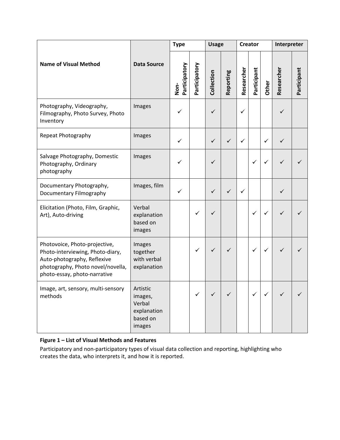| <b>Name of Visual Method</b>                                                                                                                                          | <b>Data Source</b>                                                 | <b>Type</b>           |               | <b>Usage</b> |           | <b>Creator</b> |              |       | Interpreter |             |
|-----------------------------------------------------------------------------------------------------------------------------------------------------------------------|--------------------------------------------------------------------|-----------------------|---------------|--------------|-----------|----------------|--------------|-------|-------------|-------------|
|                                                                                                                                                                       |                                                                    | Participatory<br>Non- | Participatory | Collection   | Reporting | Researcher     | Participant  | Other | Researcher  | Participant |
| Photography, Videography,<br>Filmography, Photo Survey, Photo<br>Inventory                                                                                            | Images                                                             | ✓                     |               | $\checkmark$ |           | ✓              |              |       | ✓           |             |
| Repeat Photography                                                                                                                                                    | Images                                                             | ✓                     |               | ✓            | ✓         | ✓              |              | ✓     | ✓           |             |
| Salvage Photography, Domestic<br>Photography, Ordinary<br>photography                                                                                                 | Images                                                             | ✓                     |               | ✓            |           |                | $\checkmark$ | ✓     | ✓           |             |
| Documentary Photography,<br>Documentary Filmography                                                                                                                   | Images, film                                                       | ✓                     |               | $\checkmark$ | ✓         | ✓              |              |       |             |             |
| Elicitation (Photo, Film, Graphic,<br>Art), Auto-driving                                                                                                              | Verbal<br>explanation<br>based on<br>images                        |                       | ✓             | ✓            |           |                | $\checkmark$ |       |             |             |
| Photovoice, Photo-projective,<br>Photo-interviewing, Photo-diary,<br>Auto-photography, Reflexive<br>photography, Photo novel/novella,<br>photo-essay, photo-narrative | Images<br>together<br>with verbal<br>explanation                   |                       | ✓             | ✓            |           |                | $\checkmark$ |       | ✓           |             |
| Image, art, sensory, multi-sensory  <br>methods                                                                                                                       | Artistic<br>images,<br>Verbal<br>explanation<br>based on<br>images |                       |               |              |           |                | ✓            |       |             |             |

#### **Figure 1 – List of Visual Methods and Features**

Participatory and non-participatory types of visual data collection and reporting, highlighting who creates the data, who interprets it, and how it is reported.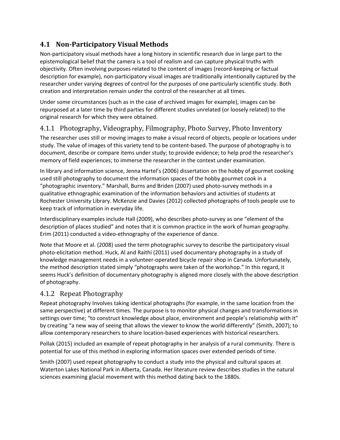# **4.1 Non-Participatory Visual Methods**

Non-participatory visual methods have a long history in scientific research due in large part to the epistemological belief that the camera is a tool of realism and can capture physical truths with objectivity. Often involving purposes related to the content of images (record-keeping or factual description for example), non-participatory visual images are traditionally intentionally captured by the researcher under varying degrees of control for the purposes of one particularly scientific study. Both creation and interpretation remain under the control of the researcher at all times.

Under some circumstances (such as in the case of archived images for example), images can be repurposed at a later time by third parties for different studies unrelated (or loosely related) to the original research for which they were obtained.

# 4.1.1 Photography, Videography, Filmography, Photo Survey, Photo Inventory

The researcher uses still or moving images to make a visual record of objects, people or locations under study. The value of images of this variety tend to be content-based. The purpose of photography is to document, describe or compare items under study; to provide evidence; to help prod the researcher's memory of field experiences; to immerse the researcher in the context under examination.

In library and information science, Jenna Hartel's (2006) dissertation on the hobby of gourmet cooking used still photography to document the information spaces of the hobby gourmet cook in a "photographic inventory." Marshall, Burns and Briden (2007) used photo-survey methods in a qualitative ethnographic examination of the information behaviors and activities of students at Rochester University Library. McKenzie and Davies (2012) collected photographs of tools people use to keep track of information in everyday life.

Interdisciplinary examples include Hall (2009), who describes photo-survey as one "element of the description of places studied" and notes that it is common practice in the work of human geography. Erim (2011) conducted a video-ethnography of the experience of dance.

Note that Moore et al. (2008) used the term photographic survey to describe the participatory visual photo-elicitation method. Huck, Al and Raithi (2011) used documentary photography in a study of knowledge management needs in a volunteer-operated bicycle repair shop in Canada. Unfortunately, the method description stated simply "photographs were taken of the workshop." In this regard, it seems Huck's definition of documentary photography is aligned more closely with the above description of photography.

# 4.1.2 Repeat Photography

Repeat photography Involves taking identical photographs (for example, in the same location from the same perspective) at different times. The purpose is to monitor physical changes and transformations in settings over time; "to construct knowledge about place, environment and people's relationship with it" by creating "a new way of seeing that allows the viewer to know the world differently" (Smith, 2007); to allow contemporary researchers to share location-based experiences with historical researchers.

Pollak (2015) included an example of repeat photography in her analysis of a rural community. There is potential for use of this method in exploring information spaces over extended periods of time.

Smith (2007) used repeat photography to conduct a study into the physical and cultural spaces at Waterton Lakes National Park in Alberta, Canada. Her literature review describes studies in the natural sciences examining glacial movement with this method dating back to the 1880s.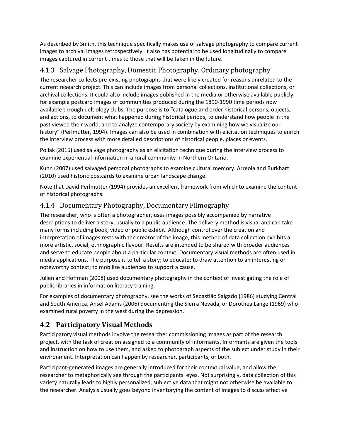As described by Smith, this technique specifically makes use of salvage photography to compare current images to archival images retrospectively. It also has potential to be used longitudinally to compare images captured in current times to those that will be taken in the future.

# 4.1.3 Salvage Photography, Domestic Photography, Ordinary photography

The researcher collects pre-existing photographs that were likely created for reasons unrelated to the current research project. This can include images from personal collections, institutional collections, or archival collections. It could also include images published in the media or otherwise available publicly, for example postcard images of communities produced during the 1890-1990 time periods now available through deltiology clubs. The purpose is to "catalogue and order historical persons, objects, and actions, to document what happened during historical periods, to understand how people in the past viewed their world, and to analyze contemporary society by examining how we visualize our history" (Perlmutter, 1994). Images can also be used in combination with elicitation techniques to enrich the interview process with more detailed descriptions of historical people, places or events.

Pollak (2015) used salvage photography as an elicitation technique during the interview process to examine experiential information in a rural community in Northern Ontario.

Kuhn (2007) used salvaged personal photographs to examine cultural memory. Arreola and Burkhart (2010) used historic postcards to examine urban landscape change.

Note that David Perlmutter (1994) provides an excellent framework from which to examine the content of historical photographs.

# 4.1.4 Documentary Photography, Documentary Filmography

The researcher, who is often a photographer, uses images possibly accompanied by narrative descriptions to deliver a story, usually to a public audience. The delivery method is visual and can take many forms including book, video or public exhibit. Although control over the creation and interpretation of images rests with the creator of the image, this method of data collection exhibits a more artistic, social, ethnographic flavour. Results are intended to be shared with broader audiences and serve to educate people about a particular context. Documentary visual methods are often used in media applications. The purpose is to tell a story; to educate; to draw attention to an interesting or noteworthy context; to mobilize audiences to support a cause.

Julien and Hoffman (2008) used documentary photography in the context of investigating the role of public libraries in information literacy training.

For examples of documentary photography, see the works of Sebastião Salgado (1986) studying Central and South America, Ansel Adams (2006) documenting the Sierra Nevada, or Dorothea Lange (1969) who examined rural poverty in the west during the depression.

# **4.2 Participatory Visual Methods**

Participatory visual methods involve the researcher commissioning images as part of the research project, with the task of creation assigned to a community of informants. Informants are given the tools and instruction on how to use them, and asked to photograph aspects of the subject under study in their environment. Interpretation can happen by researcher, participants, or both.

Participant-generated images are generally introduced for their contextual value, and allow the researcher to metaphorically see through the participants' eyes. Not surprisingly, data collection of this variety naturally leads to highly personalized, subjective data that might not otherwise be available to the researcher. Analysis usually goes beyond inventorying the content of images to discuss affective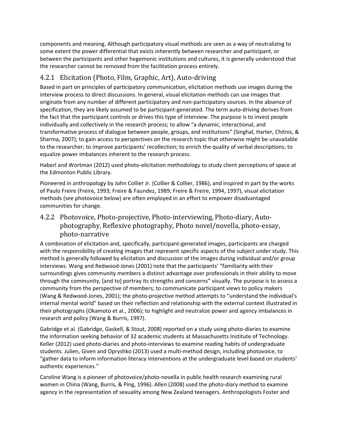components and meaning. Although participatory visual methods are seen as a way of neutralizing to some extent the power differential that exists inherently between researcher and participant, or between the participants and other hegemonic institutions and cultures, it is generally understood that the researcher cannot be removed from the facilitation process entirely.

# 4.2.1 Elicitation (Photo, Film, Graphic, Art), Auto-driving

Based in part on principles of participatory communication, elicitation methods use images during the interview process to direct discussions. In general, visual elicitation methods can use images that originate from any number of different participatory and non-participatory sources. In the absence of specification, they are likely assumed to be participant-generated. The term auto-driving derives from the fact that the participant controls or drives this type of interview. The purpose is to invest people individually and collectively in the research process; to allow "a dynamic, interactional, and transformative process of dialogue between people, groups, and institutions" (Singhal, Harter, Chitnis, & Sharma, 2007); to gain access to perspectives on the research topic that otherwise might be unavailable to the researcher; to improve participants' recollection; to enrich the quality of verbal descriptions; to equalize power imbalances inherent to the research process.

Haberl and Wortman (2012) used photo-elicitation methodology to study client perceptions of space at the Edmonton Public Library.

Pioneered in anthropology by John Collier Jr. (Collier & Collier, 1986), and inspired in part by the works of Paulo Freire (Freire, 1993; Freire & Faundez, 1989; Freire & Freire, 1994, 1997), visual elicitation methods (see photovoice below) are often employed in an effort to empower disadvantaged communities for change.

#### 4.2.2 Photovoice, Photo-projective, Photo-interviewing, Photo-diary, Autophotography, Reflexive photography, Photo novel/novella, photo-essay, photo-narrative

A combination of elicitation and, specifically, participant-generated images, participants are charged with the responsibility of creating images that represent specific aspects of the subject under study. This method is generally followed by elicitation and discussion of the images during individual and/or group interviews. Wang and Redwood-Jones (2001) note that the participants' "familiarity with their surroundings gives community members a distinct advantage over professionals in their ability to move through the community, [and to] portray its strengths and concerns" visually. The purpose is to assess a community from the perspective of members; to communicate participant views to policy makers (Wang & Redwood-Jones, 2001); the photo-projective method attempts to "understand the individual's internal mental world" based on their reflection and relationship with the external context illustrated in their photographs (Okamoto et al., 2006); to highlight and neutralize power and agency imbalances in research and policy (Wang & Burris, 1997).

Gabridge et al. (Gabridge, Gaskell, & Stout, 2008) reported on a study using photo-diaries to examine the information seeking behavior of 32 academic students at Massachusetts Institute of Technology. Keller (2012) used photo-diaries and photo-interviews to examine reading habits of undergraduate students. Julien, Given and Opryshko (2013) used a multi-method design, including photovoice, to "gather data to inform information literacy interventions at the undergraduate level based on students' authentic experiences."

Caroline Wang is a pioneer of photovoice/photo-novella in public health research examining rural women in China (Wang, Burris, & Ping, 1996). Allen (2008) used the photo-diary method to examine agency in the representation of sexuality among New Zealand teenagers. Anthropologists Foster and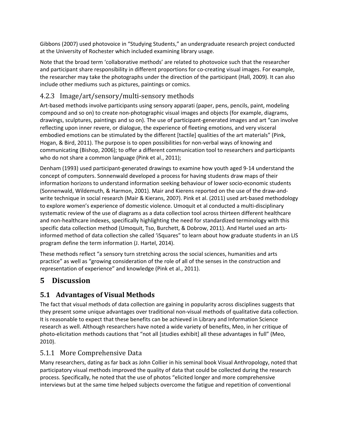Gibbons (2007) used photovoice in "Studying Students," an undergraduate research project conducted at the University of Rochester which included examining library usage.

Note that the broad term 'collaborative methods' are related to photovoice such that the researcher and participant share responsibility in different proportions for co-creating visual images. For example, the researcher may take the photographs under the direction of the participant (Hall, 2009). It can also include other mediums such as pictures, paintings or comics.

# 4.2.3 Image/art/sensory/multi-sensory methods

Art-based methods involve participants using sensory apparati (paper, pens, pencils, paint, modeling compound and so on) to create non-photographic visual images and objects (for example, diagrams, drawings, sculptures, paintings and so on). The use of participant-generated images and art "can involve reflecting upon inner revere, or dialogue, the experience of fleeting emotions, and very visceral embodied emotions can be stimulated by the different [tactile] qualities of the art materials" (Pink, Hogan, & Bird, 2011). The purpose is to open possibilities for non-verbal ways of knowing and communicating (Bishop, 2006); to offer a different communication tool to researchers and participants who do not share a common language (Pink et al., 2011);

Denham (1993) used participant-generated drawings to examine how youth aged 9-14 understand the concept of computers. Sonnenwald developed a process for having students draw maps of their information horizons to understand information seeking behaviour of lower socio-economic students (Sonnenwald, Wildemuth, & Harmon, 2001). Mair and Kierens reported on the use of the draw-andwrite technique in social research (Mair & Kierans, 2007). Pink et al. (2011) used art-based methodology to explore women's experience of domestic violence. Umoquit et al conducted a multi-disciplinary systematic review of the use of diagrams as a data collection tool across thirteen different healthcare and non-healthcare indexes, specifically highlighting the need for standardized terminology with this specific data collection method (Umoquit, Tso, Burchett, & Dobrow, 2011). And Hartel used an artsinformed method of data collection she called 'iSquares" to learn about how graduate students in an LIS program define the term information (J. Hartel, 2014).

These methods reflect "a sensory turn stretching across the social sciences, humanities and arts practice" as well as "growing consideration of the role of all of the senses in the construction and representation of experience" and knowledge (Pink et al., 2011).

# **5 Discussion**

# **5.1 Advantages of Visual Methods**

The fact that visual methods of data collection are gaining in popularity across disciplines suggests that they present some unique advantages over traditional non-visual methods of qualitative data collection. It is reasonable to expect that these benefits can be achieved in Library and Information Science research as well. Although researchers have noted a wide variety of benefits, Meo, in her critique of photo-elicitation methods cautions that "not all [studies exhibit] all these advantages in full" (Meo, 2010).

# 5.1.1 More Comprehensive Data

Many researchers, dating as far back as John Collier in his seminal book Visual Anthropology, noted that participatory visual methods improved the quality of data that could be collected during the research process. Specifically, he noted that the use of photos "elicited longer and more comprehensive interviews but at the same time helped subjects overcome the fatigue and repetition of conventional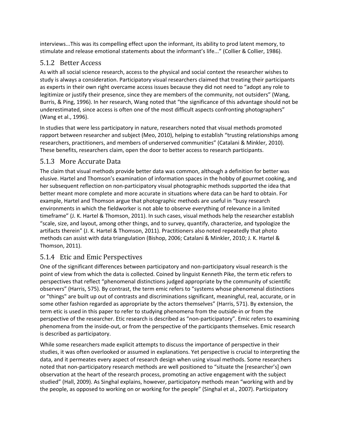interviews...This was its compelling effect upon the informant, its ability to prod latent memory, to stimulate and release emotional statements about the informant's life..." (Collier & Collier, 1986).

#### 5.1.2 Better Access

As with all social science research, access to the physical and social context the researcher wishes to study is always a consideration. Participatory visual researchers claimed that treating their participants as experts in their own right overcame access issues because they did not need to "adopt any role to legitimize or justify their presence, since they are members of the community, not outsiders" (Wang, Burris, & Ping, 1996). In her research, Wang noted that "the significance of this advantage should not be underestimated, since access is often one of the most difficult aspects confronting photographers" (Wang et al., 1996).

In studies that were less participatory in nature, researchers noted that visual methods promoted rapport between researcher and subject (Meo, 2010), helping to establish "trusting relationships among researchers, practitioners, and members of underserved communities" (Catalani & Minkler, 2010). These benefits, researchers claim, open the door to better access to research participants.

#### 5.1.3 More Accurate Data

The claim that visual methods provide better data was common, although a definition for better was elusive. Hartel and Thomson's examination of information spaces in the hobby of gourmet cooking, and her subsequent reflection on non-participatory visual photographic methods supported the idea that better meant more complete and more accurate in situations where data can be hard to obtain. For example, Hartel and Thomson argue that photographic methods are useful in "busy research environments in which the fieldworker is not able to observe everything of relevance in a limited timeframe" (J. K. Hartel & Thomson, 2011). In such cases, visual methods help the researcher establish "scale, size, and layout, among other things, and to survey, quantify, characterize, and typologize the artifacts therein" (J. K. Hartel & Thomson, 2011). Practitioners also noted repeatedly that photo methods can assist with data triangulation (Bishop, 2006; Catalani & Minkler, 2010; J. K. Hartel & Thomson, 2011).

#### 5.1.4 Etic and Emic Perspectives

One of the significant differences between participatory and non-participatory visual research is the point of view from which the data is collected. Coined by linguist Kenneth Pike, the term etic refers to perspectives that reflect "phenomenal distinctions judged appropriate by the community of scientific observers" (Harris, 575). By contrast, the term emic refers to "systems whose phenomenal distinctions or "things" are built up out of contrasts and discriminations significant, meaningful, real, accurate, or in some other fashion regarded as appropriate by the actors themselves" (Harris, 571). By extension, the term etic is used in this paper to refer to studying phenomena from the outside-in or from the perspective of the researcher. Etic research is described as "non-participatory". Emic refers to examining phenomena from the inside-out, or from the perspective of the participants themselves. Emic research is described as participatory.

While some researchers made explicit attempts to discuss the importance of perspective in their studies, it was often overlooked or assumed in explanations. Yet perspective is crucial to interpreting the data, and it permeates every aspect of research design when using visual methods. Some researchers noted that non-participatory research methods are well positioned to "situate the [researcher's] own observation at the heart of the research process, promoting an active engagement with the subject studied" (Hall, 2009). As Singhal explains, however, participatory methods mean "working with and by the people, as opposed to working on or working for the people" (Singhal et al., 2007). Participatory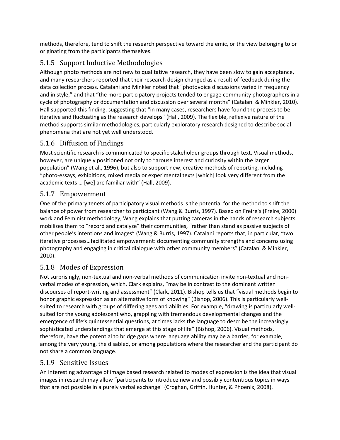methods, therefore, tend to shift the research perspective toward the emic, or the view belonging to or originating from the participants themselves.

# 5.1.5 Support Inductive Methodologies

Although photo methods are not new to qualitative research, they have been slow to gain acceptance, and many researchers reported that their research design changed as a result of feedback during the data collection process. Catalani and Minkler noted that "photovoice discussions varied in frequency and in style," and that "the more participatory projects tended to engage community photographers in a cycle of photography or documentation and discussion over several months" (Catalani & Minkler, 2010). Hall supported this finding, suggesting that "in many cases, researchers have found the process to be iterative and fluctuating as the research develops" (Hall, 2009). The flexible, reflexive nature of the method supports similar methodologies, particularly exploratory research designed to describe social phenomena that are not yet well understood.

# 5.1.6 Diffusion of Findings

Most scientific research is communicated to specific stakeholder groups through text. Visual methods, however, are uniquely positioned not only to "arouse interest and curiosity within the larger population" (Wang et al., 1996), but also to support new, creative methods of reporting, including "photo-essays, exhibitions, mixed media or experimental texts [which] look very different from the academic texts … [we] are familiar with" (Hall, 2009).

# 5.1.7 Empowerment

One of the primary tenets of participatory visual methods is the potential for the method to shift the balance of power from researcher to participant (Wang & Burris, 1997). Based on Freire's (Freire, 2000) work and Feminist methodology, Wang explains that putting cameras in the hands of research subjects mobilizes them to "record and catalyze" their communities, "rather than stand as passive subjects of other people's intentions and images" (Wang & Burris, 1997). Catalani reports that, in particular, "two iterative processes…facilitated empowerment: documenting community strengths and concerns using photography and engaging in critical dialogue with other community members" (Catalani & Minkler, 2010).

# 5.1.8 Modes of Expression

Not surprisingly, non-textual and non-verbal methods of communication invite non-textual and nonverbal modes of expression, which, Clark explains, "may be in contrast to the dominant written discourses of report-writing and assessment" (Clark, 2011). Bishop tells us that "visual methods begin to honor graphic expression as an alternative form of knowing" (Bishop, 2006). This is particularly wellsuited to research with groups of differing ages and abilities. For example, "drawing is particularly wellsuited for the young adolescent who, grappling with tremendous developmental changes and the emergence of life's quintessential questions, at times lacks the language to describe the increasingly sophisticated understandings that emerge at this stage of life" (Bishop, 2006). Visual methods, therefore, have the potential to bridge gaps where language ability may be a barrier, for example, among the very young, the disabled, or among populations where the researcher and the participant do not share a common language.

#### 5.1.9 Sensitive Issues

An interesting advantage of image based research related to modes of expression is the idea that visual images in research may allow "participants to introduce new and possibly contentious topics in ways that are not possible in a purely verbal exchange" (Croghan, Griffin, Hunter, & Phoenix, 2008).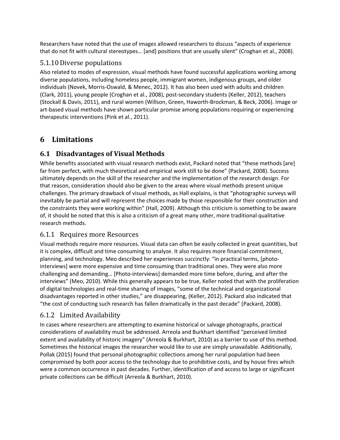Researchers have noted that the use of images allowed researchers to discuss "aspects of experience that do not fit with cultural stereotypes… [and] positions that are usually silent" (Croghan et al., 2008).

#### 5.1.10Diverse populations

Also related to modes of expression, visual methods have found successful applications working among diverse populations, including homeless people, immigrant women, indigenous groups, and older individuals (Novek, Morris-Oswald, & Menec, 2012). It has also been used with adults and children (Clark, 2011), young people (Croghan et al., 2008), post-secondary students (Keller, 2012), teachers (Stockall & Davis, 2011), and rural women (Willson, Green, Haworth-Brockman, & Beck, 2006). Image or art-based visual methods have shown particular promise among populations requiring or experiencing therapeutic interventions (Pink et al., 2011).

# **6 Limitations**

# **6.1 Disadvantages of Visual Methods**

While benefits associated with visual research methods exist, Packard noted that "these methods [are] far from perfect, with much theoretical and empirical work still to be done" (Packard, 2008). Success ultimately depends on the skill of the researcher and the implementation of the research design. For that reason, consideration should also be given to the areas where visual methods present unique challenges. The primary drawback of visual methods, as Hall explains, is that "photographic surveys will inevitably be partial and will represent the choices made by those responsible for their construction and the constraints they were working within" (Hall, 2009). Although this criticism is something to be aware of, it should be noted that this is also a criticism of a great many other, more traditional qualitative research methods.

#### 6.1.1 Requires more Resources

Visual methods require more resources. Visual data can often be easily collected in great quantities, but it is complex, difficult and time consuming to analyze. It also requires more financial commitment, planning, and technology. Meo described her experiences succinctly: "in practical terms, [photointerviews] were more expensive and time consuming than traditional ones. They were also more challenging and demanding… [Photo-interviews] demanded more time before, during, and after the interviews" (Meo, 2010). While this generally appears to be true, Keller noted that with the proliferation of digital technologies and real-time sharing of images, "some of the technical and organizational disadvantages reported in other studies," are disappearing, (Keller, 2012). Packard also indicated that "the cost of conducting such research has fallen dramatically in the past decade" (Packard, 2008).

# 6.1.2 Limited Availability

In cases where researchers are attempting to examine historical or salvage photographs, practical considerations of availability must be addressed. Arreola and Burkhart identified "perceived limited extent and availability of historic imagery" (Arreola & Burkhart, 2010) as a barrier to use of this method. Sometimes the historical images the researcher would like to use are simply unavailable. Additionally, Pollak (2015) found that personal photographic collections among her rural population had been compromised by both poor access to the technology due to prohibitive costs, and by house fires which were a common occurrence in past decades. Further, identification of and access to large or significant private collections can be difficult (Arreola & Burkhart, 2010).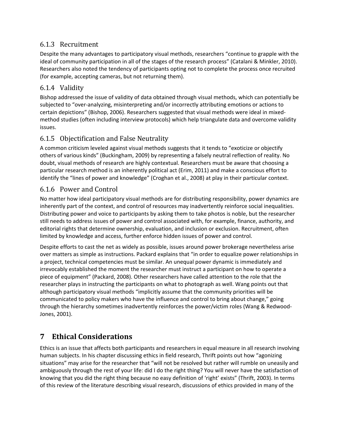#### 6.1.3 Recruitment

Despite the many advantages to participatory visual methods, researchers "continue to grapple with the ideal of community participation in all of the stages of the research process" (Catalani & Minkler, 2010). Researchers also noted the tendency of participants opting not to complete the process once recruited (for example, accepting cameras, but not returning them).

# 6.1.4 Validity

Bishop addressed the issue of validity of data obtained through visual methods, which can potentially be subjected to "over-analyzing, misinterpreting and/or incorrectly attributing emotions or actions to certain depictions" (Bishop, 2006). Researchers suggested that visual methods were ideal in mixedmethod studies (often including interview protocols) which help triangulate data and overcome validity issues.

# 6.1.5 Objectification and False Neutrality

A common criticism leveled against visual methods suggests that it tends to "exoticize or objectify others of various kinds" (Buckingham, 2009) by representing a falsely neutral reflection of reality. No doubt, visual methods of research are highly contextual. Researchers must be aware that choosing a particular research method is an inherently political act (Erim, 2011) and make a conscious effort to identify the "lines of power and knowledge" (Croghan et al., 2008) at play in their particular context.

# 6.1.6 Power and Control

No matter how ideal participatory visual methods are for distributing responsibility, power dynamics are inherently part of the context, and control of resources may inadvertently reinforce social inequalities. Distributing power and voice to participants by asking them to take photos is noble, but the researcher still needs to address issues of power and control associated with, for example, finance, authority, and editorial rights that determine ownership, evaluation, and inclusion or exclusion. Recruitment, often limited by knowledge and access, further enforce hidden issues of power and control.

Despite efforts to cast the net as widely as possible, issues around power brokerage nevertheless arise over matters as simple as instructions. Packard explains that "in order to equalize power relationships in a project, technical competencies must be similar. An unequal power dynamic is immediately and irrevocably established the moment the researcher must instruct a participant on how to operate a piece of equipment" (Packard, 2008). Other researchers have called attention to the role that the researcher plays in instructing the participants on what to photograph as well. Wang points out that although participatory visual methods "implicitly assume that the community priorities will be communicated to policy makers who have the influence and control to bring about change," going through the hierarchy sometimes inadvertently reinforces the power/victim roles (Wang & Redwood-Jones, 2001).

# **7 Ethical Considerations**

Ethics is an issue that affects both participants and researchers in equal measure in all research involving human subjects. In his chapter discussing ethics in field research, Thrift points out how "agonizing situations" may arise for the researcher that "will not be resolved but rather will rumble on uneasily and ambiguously through the rest of your life: did I do the right thing? You will never have the satisfaction of knowing that you did the right thing because no easy definition of 'right' exists" (Thrift, 2003). In terms of this review of the literature describing visual research, discussions of ethics provided in many of the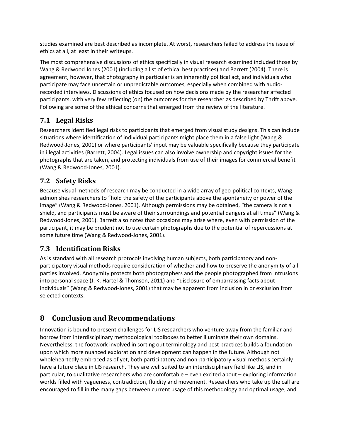studies examined are best described as incomplete. At worst, researchers failed to address the issue of ethics at all, at least in their writeups.

The most comprehensive discussions of ethics specifically in visual research examined included those by Wang & Redwood Jones (2001) (including a list of ethical best practices) and Barrett (2004). There is agreement, however, that photography in particular is an inherently political act, and individuals who participate may face uncertain or unpredictable outcomes, especially when combined with audiorecorded interviews. Discussions of ethics focused on how decisions made by the researcher affected participants, with very few reflecting (on) the outcomes for the researcher as described by Thrift above. Following are some of the ethical concerns that emerged from the review of the literature.

# **7.1 Legal Risks**

Researchers identified legal risks to participants that emerged from visual study designs. This can include situations where identification of individual participants might place them in a false light (Wang & Redwood-Jones, 2001) or where participants' input may be valuable specifically because they participate in illegal activities (Barrett, 2004). Legal issues can also involve ownership and copyright issues for the photographs that are taken, and protecting individuals from use of their images for commercial benefit (Wang & Redwood-Jones, 2001).

# **7.2 Safety Risks**

Because visual methods of research may be conducted in a wide array of geo-political contexts, Wang admonishes researchers to "hold the safety of the participants above the spontaneity or power of the image" (Wang & Redwood-Jones, 2001). Although permissions may be obtained, "the camera is not a shield, and participants must be aware of their surroundings and potential dangers at all times" (Wang & Redwood-Jones, 2001). Barrett also notes that occasions may arise where, even with permission of the participant, it may be prudent not to use certain photographs due to the potential of repercussions at some future time (Wang & Redwood-Jones, 2001).

# **7.3 Identification Risks**

As is standard with all research protocols involving human subjects, both participatory and nonparticipatory visual methods require consideration of whether and how to preserve the anonymity of all parties involved. Anonymity protects both photographers and the people photographed from intrusions into personal space (J. K. Hartel & Thomson, 2011) and "disclosure of embarrassing facts about individuals" (Wang & Redwood-Jones, 2001) that may be apparent from inclusion in or exclusion from selected contexts.

# **8 Conclusion and Recommendations**

Innovation is bound to present challenges for LIS researchers who venture away from the familiar and borrow from interdisciplinary methodological toolboxes to better illuminate their own domains. Nevertheless, the footwork involved in sorting out terminology and best practices builds a foundation upon which more nuanced exploration and development can happen in the future. Although not wholeheartedly embraced as of yet, both participatory and non-participatory visual methods certainly have a future place in LIS research. They are well suited to an interdisciplinary field like LIS, and in particular, to qualitative researchers who are comfortable – even excited about – exploring information worlds filled with vagueness, contradiction, fluidity and movement. Researchers who take up the call are encouraged to fill in the many gaps between current usage of this methodology and optimal usage, and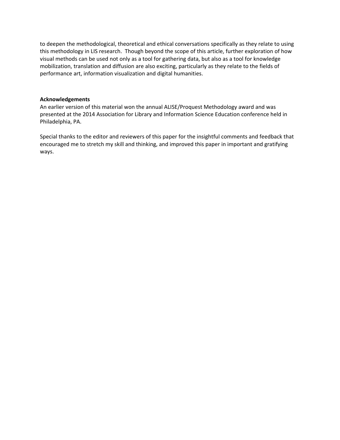to deepen the methodological, theoretical and ethical conversations specifically as they relate to using this methodology in LIS research. Though beyond the scope of this article, further exploration of how visual methods can be used not only as a tool for gathering data, but also as a tool for knowledge mobilization, translation and diffusion are also exciting, particularly as they relate to the fields of performance art, information visualization and digital humanities.

#### **Acknowledgements**

An earlier version of this material won the annual ALISE/Proquest Methodology award and was presented at the 2014 Association for Library and Information Science Education conference held in Philadelphia, PA.

Special thanks to the editor and reviewers of this paper for the insightful comments and feedback that encouraged me to stretch my skill and thinking, and improved this paper in important and gratifying ways.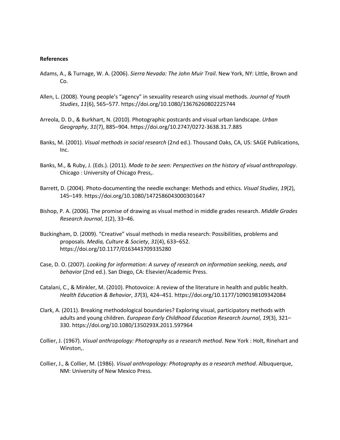#### **References**

- Adams, A., & Turnage, W. A. (2006). *Sierra Nevada: The John Muir Trail*. New York, NY: Little, Brown and Co.
- Allen, L. (2008). Young people's "agency" in sexuality research using visual methods. *Journal of Youth Studies*, *11*(6), 565–577. https://doi.org/10.1080/13676260802225744
- Arreola, D. D., & Burkhart, N. (2010). Photographic postcards and visual urban landscape. *Urban Geography*, *31*(7), 885–904. https://doi.org/10.2747/0272-3638.31.7.885
- Banks, M. (2001). *Visual methods in social research* (2nd ed.). Thousand Oaks, CA, US: SAGE Publications, Inc.
- Banks, M., & Ruby, J. (Eds.). (2011). *Made to be seen: Perspectives on the history of visual anthropology*. Chicago : University of Chicago Press,.
- Barrett, D. (2004). Photo-documenting the needle exchange: Methods and ethics. *Visual Studies*, *19*(2), 145–149. https://doi.org/10.1080/1472586043000301647
- Bishop, P. A. (2006). The promise of drawing as visual method in middle grades research. *Middle Grades Research Journal*, *1*(2), 33–46.
- Buckingham, D. (2009). "Creative" visual methods in media research: Possibilities, problems and proposals. *Media, Culture & Society*, *31*(4), 633–652. https://doi.org/10.1177/0163443709335280
- Case, D. O. (2007). *Looking for information: A survey of research on information seeking, needs, and behavior* (2nd ed.). San Diego, CA: Elsevier/Academic Press.
- Catalani, C., & Minkler, M. (2010). Photovoice: A review of the literature in health and public health. *Health Education & Behavior*, *37*(3), 424–451. https://doi.org/10.1177/1090198109342084
- Clark, A. (2011). Breaking methodological boundaries? Exploring visual, participatory methods with adults and young children. *European Early Childhood Education Research Journal*, *19*(3), 321– 330. https://doi.org/10.1080/1350293X.2011.597964
- Collier, J. (1967). *Visual anthropology: Photography as a research method*. New York : Holt, Rinehart and Winston..
- Collier, J., & Collier, M. (1986). *Visual anthropology: Photography as a research method*. Albuquerque, NM: University of New Mexico Press.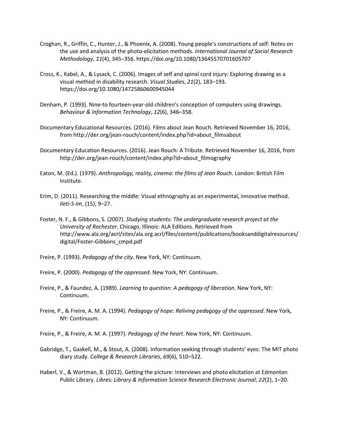- Croghan, R., Griffin, C., Hunter, J., & Phoenix, A. (2008). Young people's constructions of self: Notes on the use and analysis of the photo-elicitation methods. *International Journal of Social Research Methodology*, *11*(4), 345–356. https://doi.org/10.1080/13645570701605707
- Cross, K., Kabel, A., & Lysack, C. (2006). Images of self and spinal cord injury: Exploring drawing as a visual method in disability research. *Visual Studies*, *21*(2), 183–193. https://doi.org/10.1080/14725860600945044
- Denham, P. (1993). Nine-to fourteen-year-old children's conception of computers using drawings. *Behaviour & Information Technology*, *12*(6), 346–358.
- Documentary Educational Resources. (2016). Films about Jean Rouch. Retrieved November 16, 2016, from http://der.org/jean-rouch/content/index.php?id=about\_filmsabout
- Documentary Education Resources. (2016). Jean Rouch: A Tribute. Retrieved November 16, 2016, from http://der.org/jean-rouch/content/index.php?id=about\_filmography
- Eaton, M. (Ed.). (1979). *Anthropology, reality, cinema: the films of Jean Rouch*. London: British Film Institute.
- Erim, D. (2011). Researching the middle: Visual ethnography as an experimental, innovative method. *Ileti-S-Im*, (15), 9–27.
- Foster, N. F., & Gibbons, S. (2007). *Studying students: The undergraduate research project at the University of Rochester*. Chicago, Illinois: ALA Editions. Retrieved from http://www.ala.org/acrl/sites/ala.org.acrl/files/content/publications/booksanddigitalresources/ digital/Foster-Gibbons\_cmpd.pdf
- Freire, P. (1993). *Pedagogy of the city*. New York, NY: Continuum.
- Freire, P. (2000). *Pedagogy of the oppressed*. New York, NY: Continuum.
- Freire, P., & Faundez, A. (1989). *Learning to question: A pedagogy of liberation*. New York, NY: Continuum.
- Freire, P., & Freire, A. M. A. (1994). *Pedagogy of hope: Reliving pedagogy of the oppressed*. New York, NY: Continuum.
- Freire, P., & Freire, A. M. A. (1997). *Pedagogy of the heart*. New York, NY: Continuum.
- Gabridge, T., Gaskell, M., & Stout, A. (2008). Information seeking through students' eyes: The MIT photo diary study. *College & Research Libraries*, *69*(6), 510–522.
- Haberl, V., & Wortman, B. (2012). Getting the picture: Interviews and photo elicitation at Edmonton Public Library. *Libres: Library & Information Science Research Electronic Journal*, *22*(2), 1–20.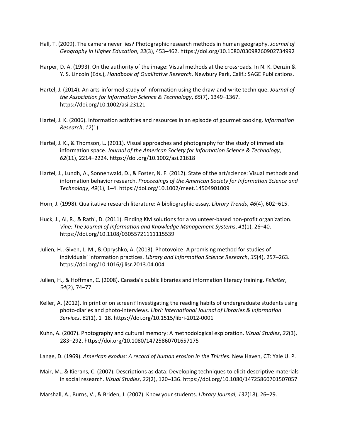- Hall, T. (2009). The camera never lies? Photographic research methods in human geography. *Journal of Geography in Higher Education*, *33*(3), 453–462. https://doi.org/10.1080/03098260902734992
- Harper, D. A. (1993). On the authority of the image: Visual methods at the crossroads. In N. K. Denzin & Y. S. Lincoln (Eds.), *Handbook of Qualitative Research*. Newbury Park, Calif.: SAGE Publications.
- Hartel, J. (2014). An arts-informed study of information using the draw-and-write technique. *Journal of the Association for Information Science & Technology*, *65*(7), 1349–1367. https://doi.org/10.1002/asi.23121
- Hartel, J. K. (2006). Information activities and resources in an episode of gourmet cooking. *Information Research*, *12*(1).
- Hartel, J. K., & Thomson, L. (2011). Visual approaches and photography for the study of immediate information space. *Journal of the American Society for Information Science & Technology*, *62*(11), 2214–2224. https://doi.org/10.1002/asi.21618
- Hartel, J., Lundh, A., Sonnenwald, D., & Foster, N. F. (2012). State of the art/science: Visual methods and information behavior research. *Proceedings of the American Society for Information Science and Technology*, *49*(1), 1–4. https://doi.org/10.1002/meet.14504901009
- Horn, J. (1998). Qualitative research literature: A bibliographic essay. *Library Trends*, *46*(4), 602–615.
- Huck, J., Al, R., & Rathi, D. (2011). Finding KM solutions for a volunteer-based non-profit organization. *Vine: The Journal of Information and Knowledge Management Systems*, *41*(1), 26–40. https://doi.org/10.1108/03055721111115539
- Julien, H., Given, L. M., & Opryshko, A. (2013). Photovoice: A promising method for studies of individuals' information practices. *Library and Information Science Research*, *35*(4), 257–263. https://doi.org/10.1016/j.lisr.2013.04.004
- Julien, H., & Hoffman, C. (2008). Canada's public libraries and information literacy training. *Feliciter*, *54*(2), 74–77.
- Keller, A. (2012). In print or on screen? Investigating the reading habits of undergraduate students using photo-diaries and photo-interviews. *Libri: International Journal of Libraries & Information Services*, *62*(1), 1–18. https://doi.org/10.1515/libri-2012-0001
- Kuhn, A. (2007). Photography and cultural memory: A methodological exploration. *Visual Studies*, *22*(3), 283–292. https://doi.org/10.1080/14725860701657175
- Lange, D. (1969). *American exodus: A record of human erosion in the Thirties*. New Haven, CT: Yale U. P.
- Mair, M., & Kierans, C. (2007). Descriptions as data: Developing techniques to elicit descriptive materials in social research. *Visual Studies*, *22*(2), 120–136. https://doi.org/10.1080/14725860701507057

Marshall, A., Burns, V., & Briden, J. (2007). Know your students. *Library Journal*, *132*(18), 26–29.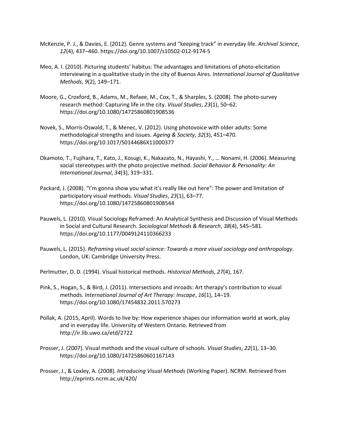- McKenzie, P. J., & Davies, E. (2012). Genre systems and "keeping track" in everyday life. *Archival Science*, *12*(4), 437–460. https://doi.org/10.1007/s10502-012-9174-5
- Meo, A. I. (2010). Picturing students' habitus: The advantages and limitations of photo-elicitation interviewing in a qualitative study in the city of Buenos Aires. *International Journal of Qualitative Methods*, *9*(2), 149–171.
- Moore, G., Croxford, B., Adams, M., Refaee, M., Cox, T., & Sharples, S. (2008). The photo-survey research method: Capturing life in the city. *Visual Studies*, *23*(1), 50–62. https://doi.org/10.1080/14725860801908536
- Novek, S., Morris-Oswald, T., & Menec, V. (2012). Using photovoice with older adults: Some methodological strengths and issues. *Ageing & Society*, *32*(3), 451–470. https://doi.org/10.1017/S0144686X11000377
- Okamoto, T., Fujihara, T., Kato, J., Kosugi, K., Nakazato, N., Hayashi, Y., … Nonami, H. (2006). Measuring social stereotypes with the photo projective method. *Social Behavior & Personality: An International Journal*, *34*(3), 319–331.
- Packard, J. (2008). "I'm gonna show you what it's really like out here": The power and limitation of participatory visual methods. *Visual Studies*, *23*(1), 63–77. https://doi.org/10.1080/14725860801908544
- Pauwels, L. (2010). Visual Sociology Reframed: An Analytical Synthesis and Discussion of Visual Methods in Social and Cultural Research. *Sociological Methods & Research*, *38*(4), 545–581. https://doi.org/10.1177/0049124110366233
- Pauwels, L. (2015). *Reframing visual social science: Towards a more visual sociology and anthropology*. London, UK: Cambridge University Press.
- Perlmutter, D. D. (1994). Visual historical methods. *Historical Methods*, *27*(4), 167.
- Pink, S., Hogan, S., & Bird, J. (2011). Intersections and inroads: Art therapy's contribution to visual methods. *International Journal of Art Therapy: Inscape*, *16*(1), 14–19. https://doi.org/10.1080/17454832.2011.570273
- Pollak, A. (2015, April). Words to live by: How experience shapes our information world at work, play and in everyday life. University of Western Ontario. Retrieved from http://ir.lib.uwo.ca/etd/2722
- Prosser, J. (2007). Visual methods and the visual culture of schools. *Visual Studies*, *22*(1), 13–30. https://doi.org/10.1080/14725860601167143
- Prosser, J., & Loxley, A. (2008). *Introducing Visual Methods* (Working Paper). NCRM. Retrieved from http://eprints.ncrm.ac.uk/420/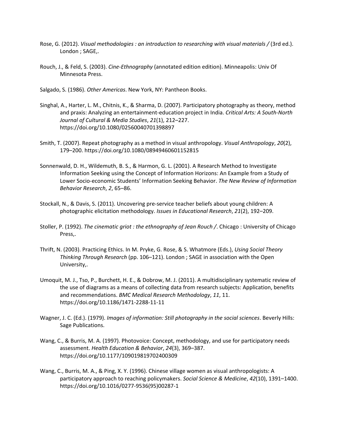- Rose, G. (2012). *Visual methodologies : an introduction to researching with visual materials /* (3rd ed.). London ; SAGE,.
- Rouch, J., & Feld, S. (2003). *Cine-Ethnography* (annotated edition edition). Minneapolis: Univ Of Minnesota Press.
- Salgado, S. (1986). *Other Americas*. New York, NY: Pantheon Books.
- Singhal, A., Harter, L. M., Chitnis, K., & Sharma, D. (2007). Participatory photography as theory, method and praxis: Analyzing an entertainment-education project in India. *Critical Arts: A South-North Journal of Cultural & Media Studies*, *21*(1), 212–227. https://doi.org/10.1080/02560040701398897
- Smith, T. (2007). Repeat photography as a method in visual anthropology. *Visual Anthropology*, *20*(2), 179–200. https://doi.org/10.1080/08949460601152815
- Sonnenwald, D. H., Wildemuth, B. S., & Harmon, G. L. (2001). A Research Method to Investigate Information Seeking using the Concept of Information Horizons: An Example from a Study of Lower Socio-economic Students' Information Seeking Behavior. *The New Review of Information Behavior Research*, *2*, 65–86.
- Stockall, N., & Davis, S. (2011). Uncovering pre-service teacher beliefs about young children: A photographic elicitation methodology. *Issues in Educational Research*, *21*(2), 192–209.
- Stoller, P. (1992). *The cinematic griot : the ethnography of Jean Rouch /*. Chicago : University of Chicago Press,.
- Thrift, N. (2003). Practicing Ethics. In M. Pryke, G. Rose, & S. Whatmore (Eds.), *Using Social Theory Thinking Through Research* (pp. 106–121). London ; SAGE in association with the Open University,.
- Umoquit, M. J., Tso, P., Burchett, H. E., & Dobrow, M. J. (2011). A multidisciplinary systematic review of the use of diagrams as a means of collecting data from research subjects: Application, benefits and recommendations. *BMC Medical Research Methodology*, *11*, 11. https://doi.org/10.1186/1471-2288-11-11
- Wagner, J. C. (Ed.). (1979). *Images of information: Still photography in the social sciences*. Beverly Hills: Sage Publications.
- Wang, C., & Burris, M. A. (1997). Photovoice: Concept, methodology, and use for participatory needs assessment. *Health Education & Behavior*, *24*(3), 369–387. https://doi.org/10.1177/109019819702400309
- Wang, C., Burris, M. A., & Ping, X. Y. (1996). Chinese village women as visual anthropologists: A participatory approach to reaching policymakers. *Social Science & Medicine*, *42*(10), 1391–1400. https://doi.org/10.1016/0277-9536(95)00287-1